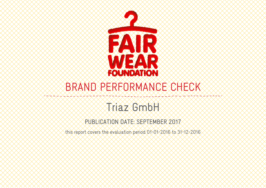

# BRAND PERFORMANCE CHECK

# Triaz GmbH

# PUBLICATION DATE: SEPTEMBER 2017

this report covers the evaluation period 01-01-2016 to 31-12-2016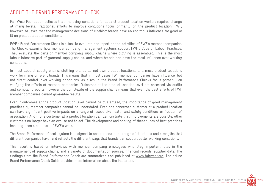#### ABOUT THE BRAND PERFORMANCE CHECK

Fair Wear Foundation believes that improving conditions for apparel product location workers requires change at many levels. Traditional efforts to improve conditions focus primarily on the product location. FWF, however, believes that the management decisions of clothing brands have an enormous influence for good or ill on product location conditions.

FWF's Brand Performance Check is a tool to evaluate and report on the activities of FWF's member companies. The Checks examine how member company management systems support FWF's Code of Labour Practices. They evaluate the parts of member company supply chains where clothing is assembled. This is the most labour intensive part of garment supply chains, and where brands can have the most influence over working conditions.

In most apparel supply chains, clothing brands do not own product locations, and most product locations work for many different brands. This means that in most cases FWF member companies have influence, but not direct control, over working conditions. As a result, the Brand Performance Checks focus primarily on verifying the efforts of member companies. Outcomes at the product location level are assessed via audits and complaint reports, however the complexity of the supply chains means that even the best efforts of FWF member companies cannot guarantee results.

Even if outcomes at the product location level cannot be guaranteed, the importance of good management practices by member companies cannot be understated. Even one concerned customer at a product location can have significant positive impacts on a range of issues like health and safety conditions or freedom of association. And if one customer at a product location can demonstrate that improvements are possible, other customers no longer have an excuse not to act. The development and sharing of these types of best practices has long been a core part of FWF's work.

The Brand Performance Check system is designed to accommodate the range of structures and strengths that different companies have, and reflects the different ways that brands can support better working conditions.

This report is based on interviews with member company employees who play important roles in the management of supply chains, and a variety of documentation sources, financial records, supplier data. The findings from the Brand Performance Check are summarized and published at www.fairwear.org. The online Brand Performance Check Guide provides more information about the indicators.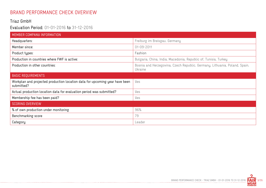# BRAND PERFORMANCE CHECK OVERVIEW

#### Triaz GmbH

## Evaluation Period: 01-01-2016 to 31-12-2016

-------------------------------

| MEMBER COMPANY INFORMATION                                                                |                                                                                       |
|-------------------------------------------------------------------------------------------|---------------------------------------------------------------------------------------|
| Headquarters:                                                                             | Freiburg im Breisgau, Germany                                                         |
| Member since:                                                                             | 01-09-2011                                                                            |
| Product types:                                                                            | Fashion                                                                               |
| Production in countries where FWF is active:                                              | Bulgaria, China, India, Macedonia, Republic of, Tunisia, Turkey                       |
| Production in other countries:                                                            | Bosnia and Herzegovina, Czech Republic, Germany, Lithuania, Poland, Spain,<br>Ukraine |
| <b>BASIC REQUIREMENTS</b>                                                                 |                                                                                       |
| Workplan and projected production location data for upcoming year have been<br>submitted? | Yes                                                                                   |
| Actual production location data for evaluation period was submitted?                      | Yes                                                                                   |
| Membership fee has been paid?                                                             | Yes                                                                                   |
| <b>SCORING OVERVIEW</b>                                                                   |                                                                                       |
| % of own production under monitoring                                                      | 96%                                                                                   |
| Benchmarking score                                                                        | 79                                                                                    |
| Category                                                                                  | Leader                                                                                |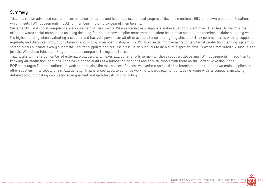#### Summary:

Triaz has shown advanced results on performance indicators and has made exceptional progress. Triaz has monitored 96% of its own production locations, which meets FWF requirements - 80% for members in their 3rd+ year of membership.

Sustainability and social compliance are a core part of Triaz's work. When sourcing new suppliers and evaluating current ones, Triaz heavily weights their efforts towards social compliance as a key deciding factor. In a new supplier management system being developed by the member, sustainability is given the highest priority when evaluating a supplier and has veto power over all other aspects (price, quality, logistics etc). Triaz communicates with its suppliers regularly and discusses production planning and pricing in an open dialogue. In 2016 Triaz made improvements to its internal production planning system to spread orders out more evenly during the year for suppliers and put less pressure on suppliers to deliver at a specific time. Triaz has motivated six suppliers to join the Workplace Education Programme, for example in Turkey and Tunisia.

Triaz works with a large number of external producers, and makes additional efforts to monitor those suppliers above any FWF requirements. In addition to knowing all production locations, Triaz has planned audits at a number of locations and actively works with them on the Corrective Action Plans. FWF encourages Triaz to continue its work on analysing the root causes of excessive overtime and scale the learnings it has from its two main suppliers to other suppliers in its supply chain. Additionally, Triaz is encouraged to continue working towards payment of a living wage with its suppliers, including detailed product costing calculations per garment and updating its pricing policy.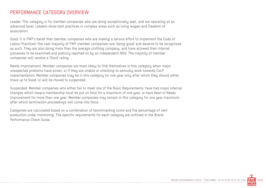#### PERFORMANCE CATEGORY OVERVIEW

Leader: This category is for member companies who are doing exceptionally well, and are operating at an advanced level. Leaders show best practices in complex areas such as living wages and freedom of association.

Good: It is FWF's belief that member companies who are making a serious effort to implement the Code of Labour Practices—the vast majority of FWF member companies—are 'doing good' and deserve to be recognized as such. They are also doing more than the average clothing company, and have allowed their internal processes to be examined and publicly reported on by an independent NGO. The majority of member companies will receive a 'Good' rating.

Needs Improvement: Member companies are most likely to find themselves in this category when major unexpected problems have arisen, or if they are unable or unwilling to seriously work towards CoLP implementation. Member companies may be in this category for one year only after which they should either move up to Good, or will be moved to suspended.

Suspended: Member companies who either fail to meet one of the Basic Requirements, have had major internal changes which means membership must be put on hold for a maximum of one year, or have been in Needs Improvement for more than one year. Member companies may remain in this category for one year maximum, after which termination proceedings will come into force.

Categories are calculated based on a combination of benchmarking score and the percentage of own production under monitoring. The specific requirements for each category are outlined in the Brand Performance Check Guide.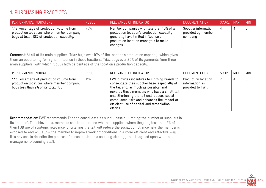## 1. PURCHASING PRACTICES

| PERFORMANCE INDICATORS                                                                                                              | RESULT | RELEVANCE OF INDICATOR                                                                                                                                                           | <b>DOCUMENTATION</b>                                   | SCORE MAX | MIN. |
|-------------------------------------------------------------------------------------------------------------------------------------|--------|----------------------------------------------------------------------------------------------------------------------------------------------------------------------------------|--------------------------------------------------------|-----------|------|
| 1.1a Percentage of production volume from<br>production locations where member company<br>buys at least 10% of production capacity. | 76%    | Member companies with less than 10% of a<br>production location's production capacity<br>generally have limited influence on<br>production location managers to make<br>changes. | Supplier information<br>provided by member<br>company. |           |      |

Comment: At all of its main suppliers, Triaz buys over 10% of the location's production capacity, which gives them an opportunity for higher influence in these locations. Triaz buys over 50% of its garments from three main suppliers, with which it buys high percentage of the location's production capacity.

| PERFORMANCE INDICATORS                                                                                                        | <b>RESULT</b> | RELEVANCE OF INDICATOR                                                                                                                                                                                                                                                                                                                         | DOCUMENTATION                                             | SCORE | MAX | <b>MIN</b> |
|-------------------------------------------------------------------------------------------------------------------------------|---------------|------------------------------------------------------------------------------------------------------------------------------------------------------------------------------------------------------------------------------------------------------------------------------------------------------------------------------------------------|-----------------------------------------------------------|-------|-----|------------|
| 1.1b Percentage of production volume from<br>production locations where member company<br>buys less than 2% of its total FOB. | 11%           | FWF provides incentives to clothing brands to<br>consolidate their supplier base, especially at<br>the tail end, as much as possible, and<br>rewards those members who have a small tail<br>end. Shortening the tail end reduces social<br>compliance risks and enhances the impact of<br>efficient use of capital and remediation<br>efforts. | Production location<br>information as<br>provided to FWF. |       |     |            |

Recommendation: FWF recommends Triaz to consolidate its supply base by limiting the number of suppliers in its 'tail end'. To achieve this, members should determine whether suppliers where they buy less than 2% of their FOB are of strategic relevance. Shortening the tail will reduce the social compliance risks the member is exposed to and will allow the member to improve working conditions in a more efficient and effective way. It is advised to describe the process of consolidation in a sourcing strategy that is agreed upon with top management/sourcing staff.

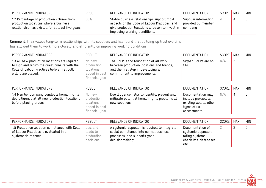| PERFORMANCE INDICATORS                                                                                                                 | <b>RESULT</b> | RELEVANCE OF INDICATOR                                                                                                                                                         | <b>DOCUMENTATION</b>                                   | SCORE | MAX | <b>MIN</b> |
|----------------------------------------------------------------------------------------------------------------------------------------|---------------|--------------------------------------------------------------------------------------------------------------------------------------------------------------------------------|--------------------------------------------------------|-------|-----|------------|
| 1.2 Percentage of production volume from<br>production locations where a business<br>relationship has existed for at least five years. | 85%           | Stable business relationships support most<br>aspects of the Code of Labour Practices, and<br>give production locations a reason to invest in<br>improving working conditions. | Supplier information<br>provided by member<br>company. |       |     |            |

Comment: Triaz values long-term relationships with its suppliers and has found that building up trust overtime has allowed them to work more closely and efficiently on improving working conditions.

| PERFORMANCE INDICATORS                                                                                                                                             | <b>RESULT</b>                                       | RELEVANCE OF INDICATOR                                                                                                                                                  | <b>DOCUMENTATION</b>         | SCORE | <b>MAX</b> | <b>MIN</b> |
|--------------------------------------------------------------------------------------------------------------------------------------------------------------------|-----------------------------------------------------|-------------------------------------------------------------------------------------------------------------------------------------------------------------------------|------------------------------|-------|------------|------------|
| 1.3 All new production locations are required<br>to sign and return the questionnaire with the<br>Code of Labour Practices before first bulk<br>orders are placed. | No new<br>production<br>locations<br>financial year | The CoLP is the foundation of all work<br>between production locations and brands,<br>and the first step in developing a<br>added in past   commitment to improvements. | Signed CoLPs are on<br>file. | N/A   | 2          | 0          |

| PERFORMANCE INDICATORS                                                                                              | <b>RESULT</b>                                                        | RELEVANCE OF INDICATOR                                                                                        | <b>DOCUMENTATION</b>                                                                                | SCORE | <b>MAX</b> | <b>MIN</b> |
|---------------------------------------------------------------------------------------------------------------------|----------------------------------------------------------------------|---------------------------------------------------------------------------------------------------------------|-----------------------------------------------------------------------------------------------------|-------|------------|------------|
| 1.4 Member company conducts human rights<br>due diligence at all new production locations<br>before placing orders. | No new<br>production<br>locations<br>added in past<br>financial year | Due diligence helps to identify, prevent and<br>mitigate potential human rights problems at<br>new suppliers. | Documentation may<br>include pre-audits,<br>existing audits, other<br>types of risk<br>assessments. | N/A   |            |            |

| PERFORMANCE INDICATORS                                                                                      | <b>RESULT</b>                                   | RELEVANCE OF INDICATOR                                                                                                                    | DOCUMENTATION                                                                               | SCORE | <b>MAX</b> | <b>MIN</b> |
|-------------------------------------------------------------------------------------------------------------|-------------------------------------------------|-------------------------------------------------------------------------------------------------------------------------------------------|---------------------------------------------------------------------------------------------|-------|------------|------------|
| 1.5 Production location compliance with Code<br>of Labour Practices is evaluated in a<br>systematic manner. | Yes, and<br>leads to<br>production<br>decisions | A systemic approach is required to integrate<br>social compliance into normal business<br>processes, and supports good<br>decisionmaking. | Documentation of<br>systemic approach:<br>rating systems,<br>checklists, databases,<br>etc. |       |            | 0          |

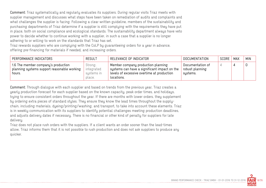Comment: Triaz systematically and regularly evaluates its suppliers. During regular visits Triaz meets with supplier management and discusses what steps have been taken on remediation of audits and complaints and what challenges the supplier is facing. Following a clear written guideline, members of the sustainability and purchasing departments of Triaz determine if a supplier is still complying with the requirements they have put in place, both on social compliance and ecological standards. The sustainability department always have veto power to decide whether to continue working with a supplier, in such a case that a supplier is no longer adhering to or willing to work on the standards that Triaz has set.

Triaz rewards suppliers who are complying with the CoLP by guaranteeing orders for a year in advance, offering pre-financing for materials if needed, and increasing orders.

| PERFORMANCE INDICATORS                                                                       | <b>RESULT</b>                                 | RELEVANCE OF INDICATOR                                                                                                                         | <b>DOCUMENTATION</b>                            | SCORE | <b>MAX</b> | <b>MIN</b> |
|----------------------------------------------------------------------------------------------|-----------------------------------------------|------------------------------------------------------------------------------------------------------------------------------------------------|-------------------------------------------------|-------|------------|------------|
| 1.6 The member company's production<br>planning systems support reasonable working<br>hours. | Strong,<br>integrated<br>systems in<br>place. | Member company production planning<br>systems can have a significant impact on the<br>levels of excessive overtime at production<br>locations. | Documentation of<br>robust planning<br>systems. |       |            |            |

Comment: Through dialogue with each supplier and based on trends from the previous year, Triaz creates a yearly production forecast for each supplier based on the known capacity, peak order times, and holidays, trying to ensure consistent orders throughout the year. If there are months with lower orders, they supplement by ordering extra pieces of standard styles. They ensure they know the lead times throughout the supplychain, including materials, dyeing/printing/washing, and transport, to take into account these elements. Triaz is in weekly communication with its suppliers to identify potential challenges meeting production deadlines, and adjusts delivery dates if necessary. There is no financial or other kind of penalty for suppliers for late delivery.

Triaz does not place rush orders with the suppliers. If a client wants an order sooner than the lead-times allow, Triaz informs them that it is not possible to rush production and does not ask suppliers to produce any quicker.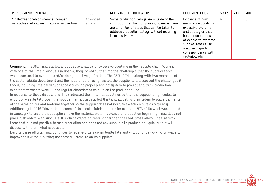| PERFORMANCE INDICATORS                                                             | <b>RESULT</b>       | RELEVANCE OF INDICATOR                                                                                                                                                                                         | <b>DOCUMENTATION</b>                                                                                                                                                                                                        | SCORE | MAX | <b>MIN</b> |
|------------------------------------------------------------------------------------|---------------------|----------------------------------------------------------------------------------------------------------------------------------------------------------------------------------------------------------------|-----------------------------------------------------------------------------------------------------------------------------------------------------------------------------------------------------------------------------|-------|-----|------------|
| 1.7 Degree to which member company<br>mitigates root causes of excessive overtime. | Advanced<br>efforts | Some production delays are outside of the<br>control of member companies; however there<br>are a number of steps that can be taken to<br>address production delays without resorting<br>to excessive overtime. | Evidence of how<br>member responds to<br>excessive overtime<br>and strategies that<br>help reduce the risk<br>of excessive overtime,<br>such as: root cause<br>analysis, reports,<br>correspondence with<br>factories, etc. | 6.    | 6   | 0          |

Comment: In 2016, Triaz started a root cause analysis of excessive overtime in their supply chain. Working with one of their main suppliers in Bosnia, they looked further into the challenges that the supplier faces which can lead to overtime and/or delayed delivery of orders. The CEO of Triaz, along with two members of the sustainability department and the head of purchasing, visited the supplier and discussed the challenges it faced, including late delivery of accessories, no proper planning system to project and track production, exporting garments weekly, and regular changing of colours on the production line.

In response to these discussions, Triaz adjusted their internal deadlines so that the supplier only needed to export bi-weekly (although the supplier has not yet started this) and adjusting their orders to place garments of the same colour and material together so the supplier does not need to switch colours as regularly. Additionally in 2016 Triaz ordered some of its special fabric earlier - for example 70% of its wool was ordered in January - to ensure that suppliers have the material well in advance of production beginning. Triaz does not place rush orders with suppliers. If a client wants an order sooner than the lead-times allow, Triaz informs them that it is not possible to rush production and does not ask suppliers to produce any quicker (but will discuss with them what is possible).

Despite these efforts, Triaz continues to receive orders consistently late and will continue working on ways to improve this without putting unnecessary pressure on its suppliers.

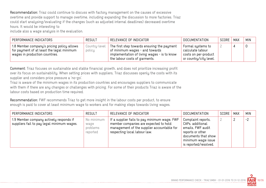Recommendation: Triaz could continue to discuss with factory management on the causes of excessive overtime and provide support to manage overtime, including expanding the discussion to more factories. Triaz could start analysing/evaluating if the changes (such as adjusted internal deadlines) decreased overtime hours. It would be interesting to

include also a wage analysis in the evaluation.

| PERFORMANCE INDICATORS                                                                                                    | <b>RESULT</b>           | RELEVANCE OF INDICATOR                                                                                                                                                    | <b>DOCUMENTATION</b>                                                                    | SCORE | MAX | <b>MIN</b> |
|---------------------------------------------------------------------------------------------------------------------------|-------------------------|---------------------------------------------------------------------------------------------------------------------------------------------------------------------------|-----------------------------------------------------------------------------------------|-------|-----|------------|
| 1.8 Member company's pricing policy allows<br>for payment of at least the legal minimum<br>wages in production countries. | Country-level<br>policy | The first step towards ensuring the payment<br>$^{\prime}$ of minimum wages - and towards<br>implementation of living wages - is to know<br>the labour costs of garments. | Formal systems to<br>calculate labour<br>costs on per-product<br>or country/city level. |       |     |            |

Comment: Triaz focuses on sustainable and stable financial growth, and does not prioritize increasing profit over its focus on sustainability. When setting prices with suppliers, Triaz discusses openly the costs with its supplier and considers price pressure a 'no-go'.

Triaz is aware of the minimum wages in its production countries and encourages suppliers to communicate with them if there are any changes or challenges with pricing. For some of their products Triaz is aware of the labour costs based on production time required.

Recommendation: FWF recommends Triaz to get more insight in the labour costs per product, to ensure enough is paid to cover at least minimum wage to workers and for making steps towards living wages.

| PERFORMANCE INDICATORS                                                                | <b>RESULT</b>                              | RELEVANCE OF INDICATOR                                                                                                                                              | DOCUMENTATION                                                                                                                                         | SCORE | <b>MAX</b> | <b>MIN</b> |
|---------------------------------------------------------------------------------------|--------------------------------------------|---------------------------------------------------------------------------------------------------------------------------------------------------------------------|-------------------------------------------------------------------------------------------------------------------------------------------------------|-------|------------|------------|
| 1.9 Member company actively responds if<br>suppliers fail to pay legal minimum wages. | No minimum<br>wage<br>problems<br>reported | If a supplier fails to pay minimum wage, FWF<br>member companies are expected to hold<br>management of the supplier accountable for<br>respecting local labour law. | Complaint reports,<br>CAPs, additional<br>emails, FWF audit<br>reports or other<br>documents that show<br>minimum wage issue<br>is reported/resolved. |       |            | $-2$       |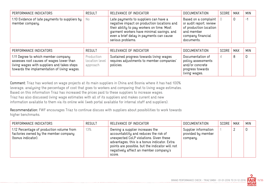| PERFORMANCE INDICATORS                                                           | RESULT | RELEVANCE OF INDICATOR                                                                                                                                                                                                                           | DOCUMENTATION                                                                                                                | SCORE | MAX | <b>MIN</b> |
|----------------------------------------------------------------------------------|--------|--------------------------------------------------------------------------------------------------------------------------------------------------------------------------------------------------------------------------------------------------|------------------------------------------------------------------------------------------------------------------------------|-------|-----|------------|
| 1.10 Evidence of late payments to suppliers by $\parallel$ No<br>member company. |        | Late payments to suppliers can have a<br>negative impact on production locations and<br>their ability to pay workers on time. Most<br>garment workers have minimal savings, and<br>even a brief delay in payments can cause<br>serious problems. | Based on a complaint  <br>or audit report; review<br>of production location<br>and member<br>company financial<br>documents. |       | 0   | $-1$       |

| PERFORMANCE INDICATORS                                                                                                                                                        | <b>RESULT</b>                            | RELEVANCE OF INDICATOR                                                                            | <b>DOCUMENTATION</b>                                                                           | SCORE | MAX | <b>MIN</b> |
|-------------------------------------------------------------------------------------------------------------------------------------------------------------------------------|------------------------------------------|---------------------------------------------------------------------------------------------------|------------------------------------------------------------------------------------------------|-------|-----|------------|
| 1.11 Degree to which member company<br>assesses root causes of wages lower than<br>living wages with suppliers and takes steps<br>towards the implementation of living wages. | Production<br>location level<br>approach | Sustained progress towards living wages<br>requires adjustments to member companies'<br>policies. | Documentation of<br>policy assessments<br>and/or concrete<br>progress towards<br>living wages. |       | 8   |            |

Comment: Triaz has worked on wage projects at its main suppliers in China and Bosnia where it has had 100% leverage, analysing the percentage of cost that goes to workers and comparing that to living wage estimates. Based on this information Triaz has increased the prices paid to these suppliers to increase wages. Triaz has also discussed living wage estimates with all of its suppliers and makes current and new information available to them via its online wiki (web portal available for internal staff and suppliers).

Recommendation: FWF encourages Triaz to continue discuss with suppliers about possibilities to work towards higher benchmarks.

| PERFORMANCE INDICATORS                                                                                   | <b>RESULT</b> | RELEVANCE OF INDICATOR                                                                                                                                                                                                                                                     | <b>DOCUMENTATION</b>                                   | SCORE | MAX | <b>MIN</b> |
|----------------------------------------------------------------------------------------------------------|---------------|----------------------------------------------------------------------------------------------------------------------------------------------------------------------------------------------------------------------------------------------------------------------------|--------------------------------------------------------|-------|-----|------------|
| 1.12 Percentage of production volume from<br>factories owned by the member company<br>(bonus indicator). | 13%           | Owning a supplier increases the<br>accountability and reduces the risk of<br>unexpected CoLP violations. Given these<br>advantages, this is a bonus indicator. Extra<br>points are possible, but the indicator will not<br>negatively affect an member company's<br>score. | Supplier information<br>provided by member<br>company. |       |     | 0          |

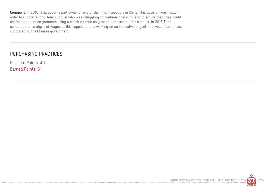Comment: In 2016 Triaz became part owner of one of their main suppliers in China. This decision was made in order to support a long-term supplier who was struggling to continue operating and to ensure that Triaz could continue to produce garments using a specific fabric only made and used by this supplier. In 2016 Triaz conducted an analysis of wages at this supplier and is working on an innovative project to develop fabric here, supported by the Chinese government.

#### PURCHASING PRACTICES

Possible Points: 40 Earned Points: 31

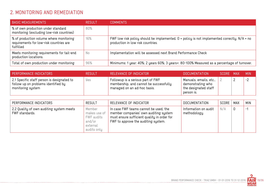# 2. MONITORING AND REMEDIATION

| <b>BASIC MEASUREMENTS</b>                                                                       | <b>RESULT</b> | <b>COMMENTS</b>                                                                                                                       |
|-------------------------------------------------------------------------------------------------|---------------|---------------------------------------------------------------------------------------------------------------------------------------|
| % of own production under standard<br>monitoring (excluding low-risk countries)                 | 80%           |                                                                                                                                       |
| % of production volume where monitoring<br>requirements for low-risk countries are<br>fulfilled | 16%           | FWF low risk policy should be implemented. $0$ = policy is not implemented correctly. $N/A$ = no<br>production in low risk countries. |
| Meets monitoring requirements for tail-end<br>production locations.                             | No            | Implementation will be assessed next Brand Performance Check                                                                          |
| Total of own production under monitoring                                                        | 96%           | Minimums: 1 year: 40%; 2 years 60%; 3 years+: 80-100% Measured as a percentage of turnover.                                           |

| PERFORMANCE INDICATORS                                                                                 | <b>RESULT</b> | RELEVANCE OF INDICATOR                                                                                     | DOCUMENTATION                                                                     | SCORE MAX | MIN. |
|--------------------------------------------------------------------------------------------------------|---------------|------------------------------------------------------------------------------------------------------------|-----------------------------------------------------------------------------------|-----------|------|
| 2.1 Specific staff person is designated to<br>follow up on problems identified by<br>monitoring system | yes           | Followup is a serious part of FWF<br>membership, and cannot be successfully<br>managed on an ad-hoc basis. | Manuals, emails, etc.,<br>demonstrating who<br>the designated staff<br>person is. |           | $-2$ |

| PERFORMANCE INDICATORS                                     | <b>RESULT</b>                                                             | RELEVANCE OF INDICATOR                                                                                                                                               | <b>DOCUMENTATION</b>                 | SCORE | MAX         | <b>MIN</b> |
|------------------------------------------------------------|---------------------------------------------------------------------------|----------------------------------------------------------------------------------------------------------------------------------------------------------------------|--------------------------------------|-------|-------------|------------|
| 2.2 Quality of own auditing system meets<br>FWF standards. | Member<br>makes use of<br>FWF audits<br>and/or<br>external<br>audits only | In case FWF teams cannot be used, the<br>member companies' own auditing system<br>must ensure sufficient quality in order for<br>FWF to approve the auditing system. | Information on audit<br>methodology. | N/A   | $\mathbf 0$ | $-$        |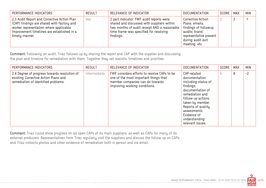| PERFORMANCE INDICATORS                                                                                                                                                                               | <b>RESULT</b> | RELEVANCE OF INDICATOR                                                                                                                                                                          | <b>DOCUMENTATION</b>                                                                                                                         | SCORE | <b>MAX</b> | <b>MIN</b> |
|------------------------------------------------------------------------------------------------------------------------------------------------------------------------------------------------------|---------------|-------------------------------------------------------------------------------------------------------------------------------------------------------------------------------------------------|----------------------------------------------------------------------------------------------------------------------------------------------|-------|------------|------------|
| 2.3 Audit Report and Corrective Action Plan<br>(CAP) findings are shared with factory and<br>worker representation where applicable.<br>Improvement timelines are established in a<br>timely manner. | Yes           | 2 part indicator: FWF audit reports were<br>shared and discussed with suppliers within<br>two months of audit receipt AND a reasonable  <br>time frame was specified for resolving<br>findings. | Corrective Action<br>Plans, emails;<br>findings of followup<br>audits; brand<br>representative present<br>during audit exit<br>meeting, etc. |       |            | Ξ,         |

Comment: Following an audit, Triaz follows up by sharing the report and CAP with the supplier and discussing the plan and timeline for remediation with them. Together they set realistic timelines and priorities.

| PERFORMANCE INDICATORS                                                                                                      | <b>RESULT</b> | RELEVANCE OF INDICATOR                                                                                                                                   | <b>DOCUMENTATION</b>                                                                                                                                                                                                                       | SCORE | <b>MAX</b> | <b>MIN</b> |
|-----------------------------------------------------------------------------------------------------------------------------|---------------|----------------------------------------------------------------------------------------------------------------------------------------------------------|--------------------------------------------------------------------------------------------------------------------------------------------------------------------------------------------------------------------------------------------|-------|------------|------------|
| 2.4 Degree of progress towards resolution of<br>existing Corrective Action Plans and<br>remediation of identified problems. | Intermediate  | FWF considers efforts to resolve CAPs to be<br>one of the most important things that<br>member companies can do towards<br>improving working conditions. | CAP-related<br>documentation<br>including status of<br>findings,<br>documentation of<br>remediation and<br>follow up actions<br>taken by member.<br>Reports of quality<br>assessments.<br>Evidence of<br>understanding<br>relevant issues. | 6     | 8          | $-2$       |

Comment: Triaz could show progress on all open CAPs of its main suppliers, as well as CAPs for many of its external producers. Representatives from Triaz regularly visit the suppliers and discuss the follow up on CAPs, and Triaz collects photos and other evidence of remediation both in person and via email.

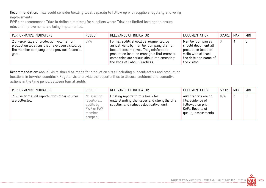Recommendation: Triaz could consider building local capacity to follow up with suppliers regularly and verify improvements.

FWF also recommends Triaz to define a strategy for suppliers where Triaz has limited leverage to ensure relevant improvements are being implemented.

| PERFORMANCE INDICATORS                                                                                                                              | RESULT | RELEVANCE OF INDICATOR                                                                                                                                                                                                                                | <b>DOCUMENTATION</b>                                                                                                           | SCORE | MAX | <b>MIN</b> |
|-----------------------------------------------------------------------------------------------------------------------------------------------------|--------|-------------------------------------------------------------------------------------------------------------------------------------------------------------------------------------------------------------------------------------------------------|--------------------------------------------------------------------------------------------------------------------------------|-------|-----|------------|
| 2.5 Percentage of production volume from<br>production locations that have been visited by<br>the member company in the previous financial<br>year. | 67%    | Formal audits should be augmented by<br>annual visits by member company staff or<br>local representatives. They reinforce to<br>production location managers that member<br>companies are serious about implementing<br>the Code of Labour Practices. | Member companies<br>should document all<br>production location<br>visits with at least<br>the date and name of<br>the visitor. |       |     |            |

Recommendation: Annual visits should be made for production sites (including subcontractors and production locations in low-risk countries). Regular visits provide the opportunities to discuss problems and corrective actions in the time period between formal audits.

| PERFORMANCE INDICATORS                                          | <b>RESULT</b>                                                              | RELEVANCE OF INDICATOR                                                                                                      | DOCUMENTATION                                                                                              | SCORE | <b>MAX</b> | <b>MIN</b>  |
|-----------------------------------------------------------------|----------------------------------------------------------------------------|-----------------------------------------------------------------------------------------------------------------------------|------------------------------------------------------------------------------------------------------------|-------|------------|-------------|
| 2.6 Existing audit reports from other sources<br>are collected. | No existing<br>reports/all<br>audits by<br>FWF or FWF<br>member<br>company | Existing reports form a basis for<br>understanding the issues and strengths of a<br>supplier, and reduces duplicative work. | Audit reports are on<br>file; evidence of<br>followup on prior<br>CAPs. Reports of<br>quality assessments. | N/A   |            | $\mathbf 0$ |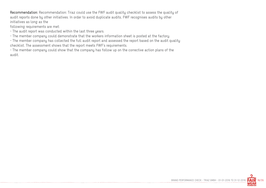Recommendation: Recommendation: Triaz could use the FWF audit quality checklist to assess the quality of audit reports done by other initiatives. In order to avoid duplicate audits, FWF recognises audits by other initiatives as long as the

following requirements are met:

- The audit report was conducted within the last three years.

- The member company could demonstrate that the workers information sheet is posted at the factory.

- The member company has collected the full audit report and assessed the report based on the audit quality checklist. The assessment shows that the report meets FWF's requirements.

- The member company could show that the company has follow up on the corrective action plans of the audit.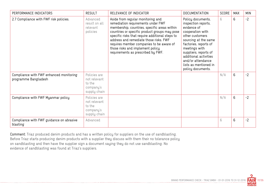| PERFORMANCE INDICATORS                                          | <b>RESULT</b>                                                       | RELEVANCE OF INDICATOR                                                                                                                                                                                                                                                                                                                                                                      | <b>DOCUMENTATION</b>                                                                                                                                                                                                                                                                  | <b>SCORE</b> | <b>MAX</b> | <b>MIN</b> |
|-----------------------------------------------------------------|---------------------------------------------------------------------|---------------------------------------------------------------------------------------------------------------------------------------------------------------------------------------------------------------------------------------------------------------------------------------------------------------------------------------------------------------------------------------------|---------------------------------------------------------------------------------------------------------------------------------------------------------------------------------------------------------------------------------------------------------------------------------------|--------------|------------|------------|
| 2.7 Compliance with FWF risk policies.                          | Advanced<br>result on all<br>relevant<br>policies                   | Aside from regular monitoring and<br>remediation requirements under FWF<br>membership, countries, specific areas within<br>countries or specific product groups may pose<br>specific risks that require additional steps to<br>address and remediate those risks. FWF<br>requires member companies to be aware of<br>those risks and implement policy<br>requirements as prescribed by FWF. | Policy documents,<br>inspection reports,<br>evidence of<br>cooperation with<br>other customers<br>sourcing at the same<br>factories, reports of<br>meetings with<br>suppliers, reports of<br>additional activities<br>and/or attendance<br>lists as mentioned in<br>policy documents. | 6            | 6          | $-2$       |
| Compliance with FWF enhanced monitoring<br>programme Bangladesh | Policies are<br>not relevant<br>to the<br>company's<br>supply chain |                                                                                                                                                                                                                                                                                                                                                                                             |                                                                                                                                                                                                                                                                                       | N/A          | 6          | $-2$       |
| Compliance with FWF Myanmar policy                              | Policies are<br>not relevant<br>to the<br>company's<br>supply chain |                                                                                                                                                                                                                                                                                                                                                                                             |                                                                                                                                                                                                                                                                                       | N/A          | 6          | $-2$       |
| Compliance with FWF guidance on abrasive<br>blasting            | Advanced                                                            |                                                                                                                                                                                                                                                                                                                                                                                             |                                                                                                                                                                                                                                                                                       | 6            | 6          | $-2$       |

Comment: Triaz produced denim products and has a written policy for suppliers on the use of sandblasting. Before Triaz starts producing denim products with a supplier they discuss with them their no tolerance policy on sandblasting and then have the supplier sign a document saying they do not use sandblasting. No evidence of sandblasting was found at Triaz's suppliers.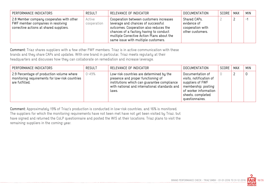| PERFORMANCE INDICATORS                                                                                                   | <b>RESULT</b>         | RELEVANCE OF INDICATOR                                                                                                                                                                                                                                 | <b>DOCUMENTATION</b>                                                | SCORE   MAX |          | <b>MIN</b>     |
|--------------------------------------------------------------------------------------------------------------------------|-----------------------|--------------------------------------------------------------------------------------------------------------------------------------------------------------------------------------------------------------------------------------------------------|---------------------------------------------------------------------|-------------|----------|----------------|
| 2.8 Member company cooperates with other<br>FWF member companies in resolving<br>corrective actions at shared suppliers. | Active<br>cooperation | Cooperation between customers increases<br>leverage and chances of successful<br>outcomes. Cooperation also reduces the<br>chances of a factory having to conduct<br>multiple Corrective Action Plans about the<br>same issue with multiple customers. | Shared CAPs,<br>evidence of<br>cooperation with<br>other customers. |             | <u>_</u> | $\blacksquare$ |

Comment: Triaz shares suppliers with a few other FWF members. Triaz is in active communication with these brands and they share CAPs and updates. With one brand in particular, Triaz meets regularly at their headquarters and discusses how they can collaborate on remediation and increase leverage.

| PERFORMANCE INDICATORS                                                                                        | <b>RESULT</b> | RELEVANCE OF INDICATOR                                                                                                                                                                    | <b>DOCUMENTATION</b>                                                                                                                                    | SCORE | <b>MAX</b> | <b>MIN</b> |
|---------------------------------------------------------------------------------------------------------------|---------------|-------------------------------------------------------------------------------------------------------------------------------------------------------------------------------------------|---------------------------------------------------------------------------------------------------------------------------------------------------------|-------|------------|------------|
| 2.9 Percentage of production volume where<br>monitoring requirements for low-risk countries<br>are fulfilled. | $0 - 49%$     | Low-risk countries are determined by the<br>presence and proper functioning of<br>institutions which can guarantee compliance<br>with national and international standards and  <br>laws. | Documentation of<br>visits, notification of<br>suppliers of FWF<br>membership; posting<br>of worker information<br>sheets, completed<br>questionnaires. |       |            | 0          |

Comment: Approximately 19% of Triaz's production is conducted in low-risk countries, and 16% is monitored. The suppliers for which the monitoring requirements have not been met have not yet been visited by Triaz, but have signed and returned the CoLP questionnaire and posted the WIS at their locations. Triaz plans to visit the remaining suppliers in the coming year.

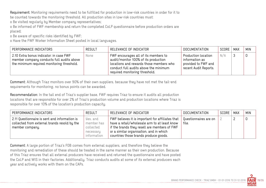Requirement: Monitoring requirements need to be fulfilled for production in low-risk countries in order for it to be counted towards the monitoring threshold. All production sites in low-risk countries must:

o Be visited regularly by Member company representatives;

o Be informed of FWF membership and return the completed CoLP questionnaire before production orders are placed;

o Be aware of specific risks identified by FWF;

o Have the FWF Worker Information Sheet posted in local languages.

| PERFORMANCE INDICATORS                                                                                                             | <b>RESULT</b> | RELEVANCE OF INDICATOR                                                                                                                                                                             | DOCUMENTATION                                                                         | SCORE | MAX | <b>MIN</b> |
|------------------------------------------------------------------------------------------------------------------------------------|---------------|----------------------------------------------------------------------------------------------------------------------------------------------------------------------------------------------------|---------------------------------------------------------------------------------------|-------|-----|------------|
| 2.10 Extra bonus indicator: in case FWF<br>member company conducts full audits above<br>the minimum required monitoring threshold. | None          | FWF encourages all of its members to<br>audit/monitor 100% of its production<br>locations and rewards those members who<br>conduct full audits above the minimum<br>required monitoring threshold. | Production location<br>information as<br>provided to FWF and<br>recent Audit Reports. | N/A   |     |            |

Comment: Although Triaz monitors over 90% of their own suppliers, because they have not met the tail-end requirements for monitoring, no bonus points can be awarded.

Recommendation: In the tail end of Triaz's supplier base, FWF requires Triaz to ensure it audits all production locations that are responsible for over 2% of Triaz's production volume and production locations where Triaz is responsible for over 10% of the location's production capacity.

| PERFORMANCE INDICATORS                                                                                           | <b>RESULT</b>                                                   | RELEVANCE OF INDICATOR                                                                                                                                                                                                               | DOCUMENTATION                  | SCORE | <b>MAX</b> | <b>MIN</b> |
|------------------------------------------------------------------------------------------------------------------|-----------------------------------------------------------------|--------------------------------------------------------------------------------------------------------------------------------------------------------------------------------------------------------------------------------------|--------------------------------|-------|------------|------------|
| 2.11 Questionnaire is sent and information is<br>collected from external brands resold by the<br>member company. | Yes, and<br>member has<br>collected<br>necessary<br>information | FWF believes it is important for affiliates that<br>have a retail/wholesale arm to at least know<br>if the brands they resell are members of FWF<br>or a similar organisation, and in which<br>countries those brands produce goods. | Questionnaires are on<br>file. |       |            |            |

Comment: A large portion of Triaz's FOB comes from external suppliers, and therefore they believe the monitoring and remediation of these should be treated in the same manner as their own production. Because of this Triaz ensures that all external producers have received and returned the questionnaire and have posted the CoLP and WIS in their factories. Additionally, Triaz conducts audits at some of its external producers each year and actively works with them on the CAPs.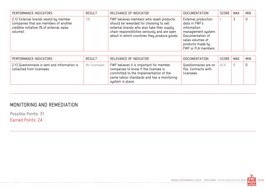| PERFORMANCE INDICATORS                                                                                                                 | <b>RESULT</b> | RELEVANCE OF INDICATOR                                                                                                                                                                                                             | <b>DOCUMENTATION</b>                                                                                                                                         | SCORE | MAX | <b>MIN</b> |
|----------------------------------------------------------------------------------------------------------------------------------------|---------------|------------------------------------------------------------------------------------------------------------------------------------------------------------------------------------------------------------------------------------|--------------------------------------------------------------------------------------------------------------------------------------------------------------|-------|-----|------------|
| 2.12 External brands resold by member<br>companies that are members of another<br>credible initiative (% of external sales<br>volume). | 5%            | FWF believes members who resell products<br>should be rewarded for choosing to sell<br>external brands who also take their supply<br>chain responsibilities seriously and are open<br>about in which countries they produce goods. | External production<br>data in FWF's<br>information<br>management system.<br>Documentation of<br>sales volumes of<br>products made by<br>FWF or FLA members. |       |     | 0          |

| PERFORMANCE INDICATORS                                                     | <b>RESULT</b> | RELEVANCE OF INDICATOR                                                                                                                                                                      | <b>DOCUMENTATION</b>                                        | SCORE   MAX | <b>MIN</b> |
|----------------------------------------------------------------------------|---------------|---------------------------------------------------------------------------------------------------------------------------------------------------------------------------------------------|-------------------------------------------------------------|-------------|------------|
| 2.13 Questionnaire is sent and information is<br>collected from licensees. | No licensees  | FWF believes it is important for member<br>companies to know if the licensee is<br>committed to the implementation of the<br>same labour standards and has a monitoring<br>system in place. | Questionnaires are on<br>file. Contracts with<br>licensees. | N/A         |            |

# MONITORING AND REMEDIATION

--------------------------------

Possible Points: 31

Earned Points: 24

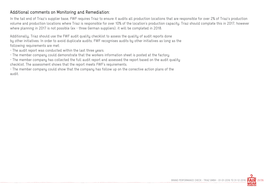#### Additional comments on Monitoring and Remediation:

In the tail end of Triaz's supplier base, FWF requires Triaz to ensure it audits all production locations that are responsible for over 2% of Triaz's production volume and production locations where Triaz is responsible for over 10% of the location's production capacity. Triaz should complete this in 2017, however where planning in 2017 is not possible (ex - three German suppliers), it will be completed in 2018.

Additionally, Triaz should use the FWF audit quality checklist to assess the quality of audit reports done by other initiatives. In order to avoid duplicate audits, FWF recognises audits by other initiatives as long as the following requirements are met:

- The audit report was conducted within the last three years.
- The member company could demonstrate that the workers information sheet is posted at the factory.

- The member company has collected the full audit report and assessed the report based on the audit quality checklist. The assessment shows that the report meets FWF's requirements.

- The member company could show that the company has follow up on the corrective action plans of the audit.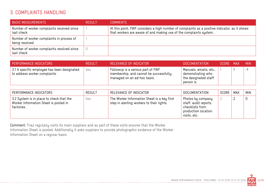## 3. COMPLAINTS HANDLING

| <b>BASIC MEASUREMENTS</b>                                   | <b>RESULT</b> | <b>COMMENTS</b>                                                                                                                                                     |
|-------------------------------------------------------------|---------------|---------------------------------------------------------------------------------------------------------------------------------------------------------------------|
| Number of worker complaints received since<br>last check    |               | At this point, FWF considers a high number of complaints as a positive indicator, as it shows<br>that workers are aware of and making use of the complaints system. |
| Number of worker complaints in process of<br>being resolved |               |                                                                                                                                                                     |
| Number of worker complaints resolved since<br>last check    |               |                                                                                                                                                                     |

| PERFORMANCE INDICATORS                                                      | <b>RESULT</b> | RELEVANCE OF INDICATOR                                                                                     | DOCUMENTATION                                                                     | SCORE MAX | <b>MIN</b> |
|-----------------------------------------------------------------------------|---------------|------------------------------------------------------------------------------------------------------------|-----------------------------------------------------------------------------------|-----------|------------|
| 3.1 A specific employee has been designated<br>to address worker complaints | Yes           | Followup is a serious part of FWF<br>membership, and cannot be successfully<br>managed on an ad-hoc basis. | Manuals, emails, etc.,<br>demonstrating who<br>the designated staff<br>person is. |           | $-$        |

| PERFORMANCE INDICATORS                                                                          | <b>RESULT</b> | RELEVANCE OF INDICATOR                                                                   | DOCUMENTATION                                                                                        | SCORE | MAX | <b>MIN</b> |
|-------------------------------------------------------------------------------------------------|---------------|------------------------------------------------------------------------------------------|------------------------------------------------------------------------------------------------------|-------|-----|------------|
| 3.2 System is in place to check that the<br>Worker Information Sheet is posted in<br>factories. | yes           | The Worker Information Sheet is a key first<br>step in alerting workers to their rights. | Photos by company<br>staff, audit reports,<br>checklists from<br>production location<br>visits, etc. |       |     | 0          |

Comment: Triaz regularly visits its main suppliers and as part of these visits ensures that the Worker Information Sheet is posted. Additionally it asks suppliers to provide photographic evidence of the Worker Information Sheet on a regular basis.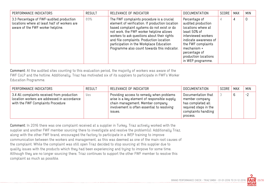| PERFORMANCE INDICATORS                                                                                                        | <b>RESULT</b> | RELEVANCE OF INDICATOR                                                                                                                                                                                                                                                                                                                                                        | <b>DOCUMENTATION</b>                                                                                                                                                                                                         | SCORE | <b>MAX</b> | <b>MIN</b> |
|-------------------------------------------------------------------------------------------------------------------------------|---------------|-------------------------------------------------------------------------------------------------------------------------------------------------------------------------------------------------------------------------------------------------------------------------------------------------------------------------------------------------------------------------------|------------------------------------------------------------------------------------------------------------------------------------------------------------------------------------------------------------------------------|-------|------------|------------|
| 3.3 Percentage of FWF-audited production<br>locations where at least half of workers are<br>aware of the FWF worker helpline. | 89%           | The FWF complaints procedure is a crucial<br>element of verification. If production location<br>based complaint systems do not exist or do<br>not work, the FWF worker helpline allows<br>workers to ask questions about their rights<br>and file complaints. Production location<br>participation in the Workplace Education<br>Programme also count towards this indicator. | Percentage of<br>audited production<br>locations where at<br>least 50% of<br>interviewed workers<br>indicate awareness of<br>the FWF complaints<br>mechanism +<br>percentage of<br>production locations<br>in WEP programme. |       | 4          | 0          |

Comment: At the audited sites counting to this evaluation period, the majority of workers was aware of the FWF CoLP and the hotline. Additionally, Triaz has motivated six of its suppliers to participate in FWF's Worker Education Programme.

| PERFORMANCE INDICATORS                                                                                                           | <b>RESULT</b> | RELEVANCE OF INDICATOR                                                                                                                                                                 | DOCUMENTATION                                                                                                         | SCORE | <b>MAX</b> | <b>MIN</b> |
|----------------------------------------------------------------------------------------------------------------------------------|---------------|----------------------------------------------------------------------------------------------------------------------------------------------------------------------------------------|-----------------------------------------------------------------------------------------------------------------------|-------|------------|------------|
| 3.4 All complaints received from production<br>location workers are addressed in accordance<br>with the FWF Complaints Procedure | Yes           | Providing access to remedy when problems<br>arise is a key element of responsible supply<br>chain management. Member company<br>involvement is often essential to resolving<br>ISSUES. | Documentation that<br>member company<br>has completed all<br>required steps in the<br>complaints handling<br>process. |       | 6          | $-2$       |

Comment: In 2016 there was one complaint received at a supplier in Turkey. Triaz actively worked with the supplier and another FWF member sourcing there to investigate and resolve the problem(s). Additionally Triaz, along with the other FWF brand, encouraged the factory to participate in a WEP training to improve communication between the workers and management, as this was deemed as one of the main root causes of the complaint. While the complaint was still open Triaz decided to stop sourcing at this supplier due to quality issues with the products which they had been experiencing and trying to imrpove for some time. Although they are no longer sourcing there, Triaz continues to support the other FWF member to resolve this complaint as much as possible.

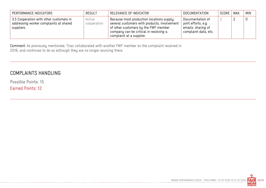| PERFORMANCE INDICATORS                                                                         | <b>RESULT</b>         | RELEVANCE OF INDICATOR                                                                                                                                                                                 | <b>DOCUMENTATION</b>                                                                  | SCORE | MAX | <b>MIN</b> |
|------------------------------------------------------------------------------------------------|-----------------------|--------------------------------------------------------------------------------------------------------------------------------------------------------------------------------------------------------|---------------------------------------------------------------------------------------|-------|-----|------------|
| 3.5 Cooperation with other customers in<br>addressing worker complaints at shared<br>suppliers | Active<br>cooperation | Because most production locations supply<br>several customers with products, involvement<br>of other customers by the FWF member<br>company can be critical in resolving a<br>complaint at a supplier. | Documentation of<br>joint efforts, e.g.<br>emails, sharing of<br>complaint data, etc. |       |     |            |

Comment: As previously mentioned, Triaz collaborated with another FWF member on the complaint received in 2016, and continues to do so although they are no longer sourcing there.

## COMPLAINTS HANDLING

Possible Points: 15 Earned Points: 12

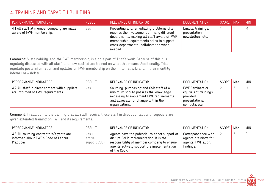# 4. TRAINING AND CAPACITY BUILDING

| PERFORMANCE INDICATORS                                               | <b>RESULT</b> | RELEVANCE OF INDICATOR                                                                                                                                                                                                                | DOCUMENTATION                                            | SCORE MAX | <b>MIN</b> |
|----------------------------------------------------------------------|---------------|---------------------------------------------------------------------------------------------------------------------------------------------------------------------------------------------------------------------------------------|----------------------------------------------------------|-----------|------------|
| 4.1 All staff at member company are made<br>aware of FWF membership. | Yes           | Preventing and remediating problems often<br>requires the involvement of many different<br>departments; making all staff aware of FWF<br>membership requirements helps to support<br>cross-departmental collaboration when<br>needed. | Emails, trainings,<br>presentation,<br>newsletters, etc. |           | н.,        |

Comment: Sustainability, and the FWF membership, is a core part of Triaz's work. Because of this it is regularly discussed with all staff, and new staffed are trained on what this means. Additionally, Triaz regularly posts information and updates on FWF membership on their internal wiki and in their monthly internal newsletter.

| PERFORMANCE INDICATORS                                                              | <b>RESULT</b> | RELEVANCE OF INDICATOR                                                                                                                                                               | <b>DOCUMENTATION</b>                                                                             | SCORE | MAX | <b>MIN</b>    |
|-------------------------------------------------------------------------------------|---------------|--------------------------------------------------------------------------------------------------------------------------------------------------------------------------------------|--------------------------------------------------------------------------------------------------|-------|-----|---------------|
| 4.2 All staff in direct contact with suppliers<br>are informed of FWF requirements. | Yes           | Sourcing, purchasing and CSR staff at a<br>minimum should possess the knowledge<br>necessary to implement FWF requirements<br>and advocate for change within their<br>organisations. | <b>FWF Seminars or</b><br>equivalent trainings<br>provided;<br>presentations,<br>curricula, etc. |       |     | $\mathcal{L}$ |

Comment: In addition to the training that all staff receive, those staff in direct contact with suppliers are given extended training on FWF and its requirements.

| PERFORMANCE INDICATORS                                                                       | <b>RESULT</b>                                 | RELEVANCE OF INDICATOR                                                                                                                                                                               | DOCUMENTATION                                                                  | SCORE | MAX | <b>MIN</b> |
|----------------------------------------------------------------------------------------------|-----------------------------------------------|------------------------------------------------------------------------------------------------------------------------------------------------------------------------------------------------------|--------------------------------------------------------------------------------|-------|-----|------------|
| 4.3 All sourcing contractors/agents are<br>informed about FWF's Code of Labour<br>Practices. | $y_{\text{ES}} +$<br>actively<br>support COLP | Agents have the potential to either support or<br>disrupt CoLP implementation. It is the<br>responsibility of member company to ensure<br>agents actively support the implementation<br>of the CoLP. | Correspondence with<br>agents, trainings for<br>agents, FWF audit<br>findings. |       |     |            |

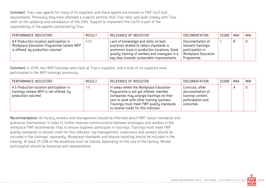Comment: Triaz uses agents for many of its suppliers, and these agents are trained on FWF CoLP and requirements. Previously they have attended a supplier seminar that Triaz held, and work closely with Triaz staff on the updating and remediation of the CAPs. Support to implement the CoLPs is part of the responsibility of the agents contracted by Triaz.

| PERFORMANCE INDICATORS                                                                                                    | <b>RESULT</b> | RELEVANCE OF INDICATOR                                                                                                                                                                                                         | DOCUMENTATION                                                                                    | SCORE | <b>MAX</b> | <b>MIN</b> |
|---------------------------------------------------------------------------------------------------------------------------|---------------|--------------------------------------------------------------------------------------------------------------------------------------------------------------------------------------------------------------------------------|--------------------------------------------------------------------------------------------------|-------|------------|------------|
| 4.4 Production location participation in<br>Workplace Education Programme (where WEP<br>is offered; by production volume) | 69%           | Lack of knowledge and skills on best<br>practices related to labour standards is<br>acommon issue in production locations. Good<br>quality training of workers and managers is a<br>key step towards sustainable improvements. | Documentation of<br>relevant trainings;<br>participation in<br>Workplace Education<br>Programme. |       |            |            |

Comment: In 2016, two WEP trainings were held at Triaz's suppliers, and a total of six suppliers have participated in the WEP trainings previously.

| PERFORMANCE INDICATORS                                                                                    | <b>RESULT</b> | RELEVANCE OF INDICATOR                                                                                                                                                                                                                                        | DOCUMENTATION                                                                               | SCORE | MAX | MIN |
|-----------------------------------------------------------------------------------------------------------|---------------|---------------------------------------------------------------------------------------------------------------------------------------------------------------------------------------------------------------------------------------------------------------|---------------------------------------------------------------------------------------------|-------|-----|-----|
| 4.5 Production location participation in<br>trainings (where WEP is not offered; by<br>production volume) | 0%            | In areas where the Workplace Education<br>Programme is not yet offered, member<br>companies may arrange trainings on their<br>own or work with other training-partners.<br>Trainings must meet FWF quality standards<br>to receive credit for this indicator. | Curricula, other<br>documentation of<br>training content,<br>participation and<br>outcomes. |       |     |     |

Recommendation: All factory workers and management should be informed about FWF, labour standards and grievance mechanisms. In order to further improve communication between employers and workers in the workplace FWF recommends Triaz to ensure suppliers participate in trainings. Trainings must meet FWF quality standards to receive credit for this indicator: top management, supervisors and workers should be included in the trainings, separately. Workplace standards and dispute handling should be included in the training. At least 10-20% of the workforce must be trained, depending on the size of the factory. Worker participation should be balanced and representative.

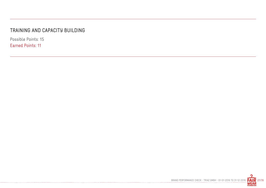# TRAINING AND CAPACITY BUILDING

Possible Points: 15 Earned Points: 11

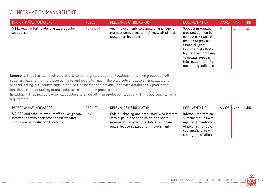# 5. INFORMATION MANAGEMENT

| PERFORMANCE INDICATORS                                      | <b>RESULT</b> | RELEVANCE OF INDICATOR                                                                                            | <b>DOCUMENTATION</b>                                                                                                                                                                                                          | SCORE MAX |   | <b>MIN</b> |
|-------------------------------------------------------------|---------------|-------------------------------------------------------------------------------------------------------------------|-------------------------------------------------------------------------------------------------------------------------------------------------------------------------------------------------------------------------------|-----------|---|------------|
| 5.1 Level of effort to identify all production<br>locations | Advanced      | Any improvements to supply chains require<br>member companies to first know all of their<br>production locations. | Supplier information<br>provided by member<br>company. Financial<br>records of previous<br>financial year.<br>Documented efforts<br>by member company<br>to update supplier<br>information from its<br>monitoring activities. | 6         | 6 | $-2$       |

Comment: Triaz has demonstrated efforts to identify all production locations of its own production. All suppliers have to fill in the questionnaire and report to Triaz if there are subcontractors. Triaz allows for subcontracting but requires suppliers to be transparent and provide Triaz with details of all production locations, such as factory names, addresses, production process, etc.

In addition, Triaz requests external suppliers to share all their production locations. This goes beyond FWF's requirement.

| PERFORMANCE INDICATORS                                                                                                              | <b>RESULT</b> | RELEVANCE OF INDICATOR                                                                                                                                                              | <b>DOCUMENTATION</b>                                                                                                                   | SCORE | MAX | <b>MIN</b>                |
|-------------------------------------------------------------------------------------------------------------------------------------|---------------|-------------------------------------------------------------------------------------------------------------------------------------------------------------------------------------|----------------------------------------------------------------------------------------------------------------------------------------|-------|-----|---------------------------|
| 5.2 CSR and other relevant staff actively share<br>information with each other about working<br>conditions at production locations. | Yes           | CSR, purchasing and other staff who interact<br>with suppliers need to be able to share<br>information in order to establish a coherent<br>and effective strategy for improvements. | Internal information<br>system; status CAPs,<br>reports of meetings<br>of purchasing/CSR;<br>systematic way of<br>storing information. |       |     | $ \overline{\phantom{a}}$ |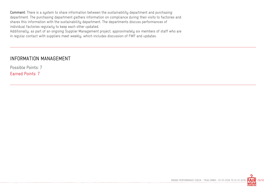Comment: There is a system to share information between the sustainability department and purchasing department. The purchasing department gathers information on compliance during their visits to factories and shares this information with the sustainability department. The departments discuss performances of individual factories regularly to keep each other updated.

Additionally, as part of an ongoing Supplier Management project, approximately six members of staff who are in regular contact with suppliers meet weekly, which includes discussion of FWF and updates.

#### INFORMATION MANAGEMENT

Possible Points: 7

Earned Points: 7

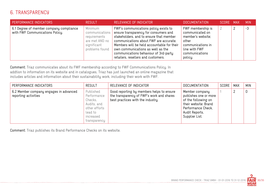# 6. TRANSPARENCY

| PERFORMANCE INDICATORS                                                     | <b>RESULT</b>                                                                                | RELEVANCE OF INDICATOR                                                                                                                                                                                                                                                                                                                 | <b>DOCUMENTATION</b>                                                                                                                  | SCORE : | <b>MAX</b> | <b>MIN</b> |
|----------------------------------------------------------------------------|----------------------------------------------------------------------------------------------|----------------------------------------------------------------------------------------------------------------------------------------------------------------------------------------------------------------------------------------------------------------------------------------------------------------------------------------|---------------------------------------------------------------------------------------------------------------------------------------|---------|------------|------------|
| 6.1 Degree of member company compliance<br>with FWF Communications Policy. | Minimum<br>communications<br>requirements<br>are met AND no<br>significant<br>problems found | FWF's communications policy exists to<br>ensure transparency for consumers and<br>stakeholders, and to ensure that member<br>communications about FWF are accurate.<br>Members will be held accountable for their<br>own communications as well as the<br>communications behaviour of 3rd-party<br>retailers, resellers and customers. | FWF membership is<br>communicated on<br>member's website;<br>other<br>communications in<br>line with FWF<br>communications<br>policy. |         |            | $-3$       |

Comment: Triaz communicates about its FWF membership according to FWF Communications Policy. In addtion to information on its website and in catalogues, Triaz has just launched an online magazine that includes articles and information about their sustainability work, including their work with FWF.

| PERFORMANCE INDICATORS                                         | <b>RESULT</b>                                                                                               | RELEVANCE OF INDICATOR                                                                                                      | <b>DOCUMENTATION</b>                                                                                                                             | SCORE | <b>MAX</b> | <b>MIN</b> |
|----------------------------------------------------------------|-------------------------------------------------------------------------------------------------------------|-----------------------------------------------------------------------------------------------------------------------------|--------------------------------------------------------------------------------------------------------------------------------------------------|-------|------------|------------|
| 6.2 Member company engages in advanced<br>reporting activities | Published<br>Performance<br>Checks,<br>Audits, and<br>other efforts<br>lead to<br>increased<br>transparency | Good reporting by members helps to ensure<br>the transparency of FWF's work and shares<br>best practices with the industry. | Member company<br>publishes one or more<br>of the following on<br>their website: Brand<br>Performance Check,<br>Audit Reports,<br>Supplier List. |       |            |            |

Comment: Triaz publishes its Brand Performance Checks on its website.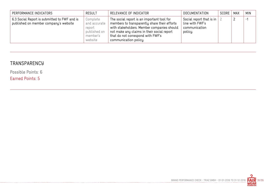| PERFORMANCE INDICATORS                                                                | <b>RESULT</b>                                                             | RELEVANCE OF INDICATOR                                                                                                                                                                                                                               | DOCUMENTATION                                                           | SCORE   MAX | <b>MIN</b> |
|---------------------------------------------------------------------------------------|---------------------------------------------------------------------------|------------------------------------------------------------------------------------------------------------------------------------------------------------------------------------------------------------------------------------------------------|-------------------------------------------------------------------------|-------------|------------|
| 6.3 Social Report is submitted to FWF and is<br>published on member company's website | Complete<br>and accurate<br>report<br>published on<br>member's<br>website | The social report is an important tool for<br>members to transparently share their efforts<br>with stakeholders. Member companies should<br>not make any claims in their social report<br>that do not correspond with FWF's<br>communication policy. | Social report that is in<br>line with FWF's<br>communication<br>policy. |             | -1         |

# **TRANSPARENCY**

Possible Points: 6 Earned Points: 5

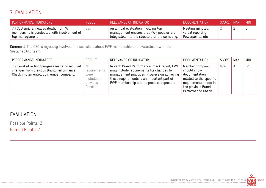# 7. EVALUATION

| PERFORMANCE INDICATORS                                                                                 | <b>RESULT</b> | RELEVANCE OF INDICATOR                                                                                                          | DOCUMENTATION                                              | SCORE MAX | MIN. |
|--------------------------------------------------------------------------------------------------------|---------------|---------------------------------------------------------------------------------------------------------------------------------|------------------------------------------------------------|-----------|------|
| 7.1 Systemic annual evaluation of FWF<br>membership is conducted with involvement of<br>top management | yes           | An annual evaluation involving top<br>management ensures that FWF policies are<br>integrated into the structure of the company. | Meeting minutes,<br>verbal reporting,<br>Powerpoints, etc. |           |      |

Comment: The CEO is regularly involved in discussions about FWF membership and evaluates it with the Sustainability team.

| PERFORMANCE INDICATORS                                                                                                           | <b>RESULT</b>                                                  | RELEVANCE OF INDICATOR                                                                                                                                                                                                          | <b>DOCUMENTATION</b>                                                                                                                          | SCORE | MAX | <b>MIN</b> |
|----------------------------------------------------------------------------------------------------------------------------------|----------------------------------------------------------------|---------------------------------------------------------------------------------------------------------------------------------------------------------------------------------------------------------------------------------|-----------------------------------------------------------------------------------------------------------------------------------------------|-------|-----|------------|
| 7.2 Level of action/progress made on required<br>changes from previous Brand Performance<br>Check implemented by member company. | No<br>requirements<br>were<br>included in<br>previous<br>Check | In each Brand Performance Check report, FWF<br>may include requirements for changes to<br>management practices. Progress on achieving<br>these requirements is an important part of<br>FWF membership and its process approach. | Member company<br>should show<br>documentation<br>related to the specific<br>requirements made in<br>the previous Brand<br>Performance Check. | N/A   | 4   | $-2$       |

## EVALUATION

Possible Points: 2

Earned Points: 2

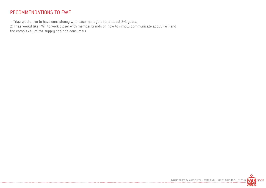## RECOMMENDATIONS TO FWF

1. Triaz would like to have consistency with case managers for at least 2-3 years.

2. Triaz would like FWF to work closer with member brands on how to simply communicate about FWF and the complexity of the supply chain to consumers.

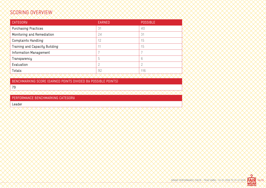# SCORING OVERVIEW

| <b>CATEGORY</b>                | <b>EARNED</b>  | <b>POSSIBLE</b> |
|--------------------------------|----------------|-----------------|
| <b>Purchasing Practices</b>    | 31             | 40              |
| Monitoring and Remediation     | 24             | 31              |
| <b>Complaints Handling</b>     | 12             | 15              |
| Training and Capacity Building | 11             | 15              |
| Information Management         |                |                 |
| Transparency                   | 5              | 6               |
| Evaluation                     | $\overline{2}$ | $\overline{2}$  |
| Totals:                        | 92             | 116             |
|                                |                |                 |

BENCHMARKING SCORE (EARNED POINTS DIVIDED BY POSSIBLE POINTS)

79

PERFORMANCE BENCHMARKING CATEGORY

Leader